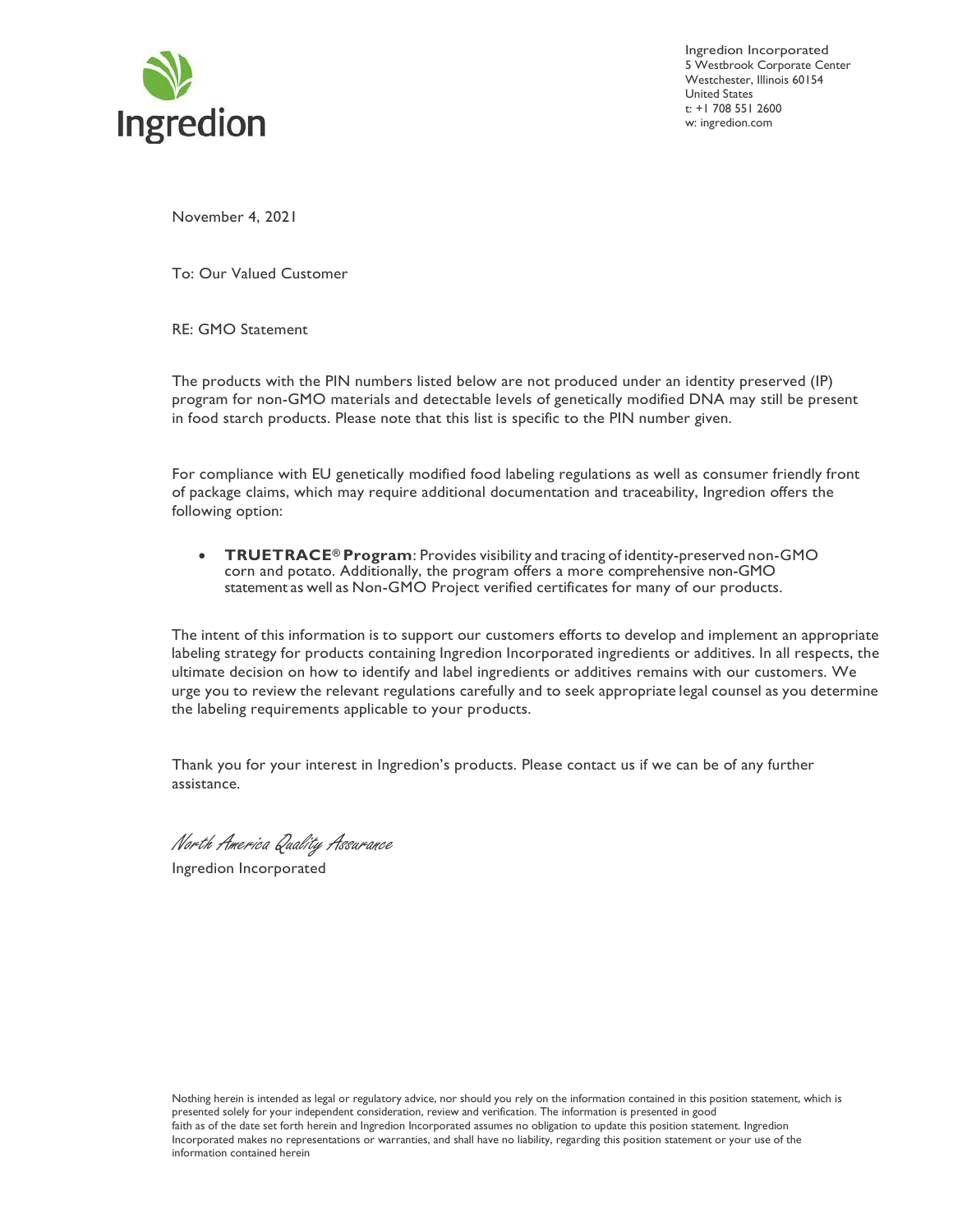

Ingredion Incorporated 5 Westbrook Corporate Center Westchester, Illinois 60154 United States t: +1 708 551 2600 w: ingredion.com

November 4, 2021

To: Our Valued Customer

RE: GMO Statement

The products with the PIN numbers listed below are not produced under an identity preserved (IP) program for non-GMO materials and detectable levels of genetically modified DNA may still be present in food starch products. Please note that this list is specific to the PIN number given.

For compliance with EU genetically modified food labeling regulations as well as consumer friendly front of package claims, which may require additional documentation and traceability, Ingredion offers the following option:

• **TRUETRACE® Program**: Provides visibility and tracing of identity-preserved non-GMO corn and potato. Additionally, the program offers a more comprehensive non-GMO statement as well as Non-GMO Project verified certificates for many of our products.

The intent of this information is to support our customers efforts to develop and implement an appropriate labeling strategy for products containing Ingredion Incorporated ingredients or additives. In all respects, the ultimate decision on how to identify and label ingredients or additives remains with our customers. We urge you to review the relevant regulations carefully and to seek appropriate legal counsel as you determine the labeling requirements applicable to your products.

Thank you for your interest in Ingredion's products. Please contact us if we can be of any further assistance.

North America Quality Assurance

Ingredion Incorporated

Nothing herein is intended as legal or regulatory advice, nor should you rely on the information contained in this position statement, which is presented solely for your independent consideration, review and verification. The information is presented in good faith as of the date set forth herein and Ingredion Incorporated assumes no obligation to update this position statement. Ingredion Incorporated makes no representations or warranties, and shall have no liability, regarding this position statement or your use of the information contained herein